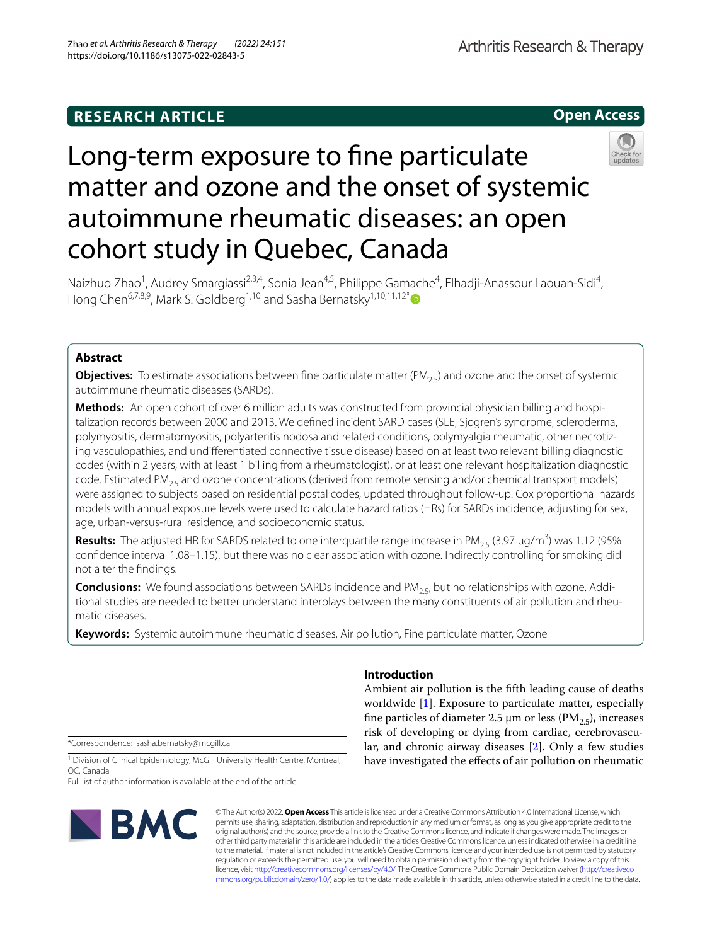## **RESEARCH ARTICLE**

**Open Access**

# Long-term exposure to fne particulate matter and ozone and the onset of systemic autoimmune rheumatic diseases: an open cohort study in Quebec, Canada



Naizhuo Zhao<sup>1</sup>, Audrey Smargiassi<sup>2,3,4</sup>, Sonia Jean<sup>4,5</sup>, Philippe Gamache<sup>4</sup>, Elhadji-Anassour Laouan-Sidi<sup>4</sup>, Hong Chen<sup>6,7,8,9</sup>, Mark S. Goldberg<sup>1,10</sup> and Sasha Bernatsky<sup>1,10,11,12\*</sup>

## **Abstract**

**Objectives:** To estimate associations between fine particulate matter  $(PM_{2.5})$  and ozone and the onset of systemic autoimmune rheumatic diseases (SARDs).

**Methods:** An open cohort of over 6 million adults was constructed from provincial physician billing and hospi‑ talization records between 2000 and 2013. We defned incident SARD cases (SLE, Sjogren's syndrome, scleroderma, polymyositis, dermatomyositis, polyarteritis nodosa and related conditions, polymyalgia rheumatic, other necrotizing vasculopathies, and undiferentiated connective tissue disease) based on at least two relevant billing diagnostic codes (within 2 years, with at least 1 billing from a rheumatologist), or at least one relevant hospitalization diagnostic code. Estimated  $PM_{2.5}$  and ozone concentrations (derived from remote sensing and/or chemical transport models) were assigned to subjects based on residential postal codes, updated throughout follow-up. Cox proportional hazards models with annual exposure levels were used to calculate hazard ratios (HRs) for SARDs incidence, adjusting for sex, age, urban-versus-rural residence, and socioeconomic status.

**Results:** The adjusted HR for SARDS related to one interquartile range increase in PM<sub>2.5</sub> (3.97 µg/m<sup>3</sup>) was 1.12 (95% confdence interval 1.08–1.15), but there was no clear association with ozone. Indirectly controlling for smoking did not alter the fndings.

**Conclusions:** We found associations between SARDs incidence and PM<sub>2.5</sub>, but no relationships with ozone. Additional studies are needed to better understand interplays between the many constituents of air pollution and rheumatic diseases.

**Keywords:** Systemic autoimmune rheumatic diseases, Air pollution, Fine particulate matter, Ozone

\*Correspondence: sasha.bernatsky@mcgill.ca

#### <sup>1</sup> Division of Clinical Epidemiology, McGill University Health Centre, Montreal, QC, Canada

Full list of author information is available at the end of the article



© The Author(s) 2022. **Open Access** This article is licensed under a Creative Commons Attribution 4.0 International License, which permits use, sharing, adaptation, distribution and reproduction in any medium or format, as long as you give appropriate credit to the original author(s) and the source, provide a link to the Creative Commons licence, and indicate if changes were made. The images or other third party material in this article are included in the article's Creative Commons licence, unless indicated otherwise in a credit line to the material. If material is not included in the article's Creative Commons licence and your intended use is not permitted by statutory regulation or exceeds the permitted use, you will need to obtain permission directly from the copyright holder. To view a copy of this licence, visit [http://creativecommons.org/licenses/by/4.0/.](http://creativecommons.org/licenses/by/4.0/) The Creative Commons Public Domain Dedication waiver ([http://creativeco](http://creativecommons.org/publicdomain/zero/1.0/) [mmons.org/publicdomain/zero/1.0/](http://creativecommons.org/publicdomain/zero/1.0/)) applies to the data made available in this article, unless otherwise stated in a credit line to the data.

## **Introduction**

Ambient air pollution is the ffth leading cause of deaths worldwide [\[1\]](#page-4-0). Exposure to particulate matter, especially fine particles of diameter 2.5  $\mu$ m or less (PM<sub>2.5</sub>), increases risk of developing or dying from cardiac, cerebrovascular, and chronic airway diseases [[2](#page-4-1)]. Only a few studies have investigated the efects of air pollution on rheumatic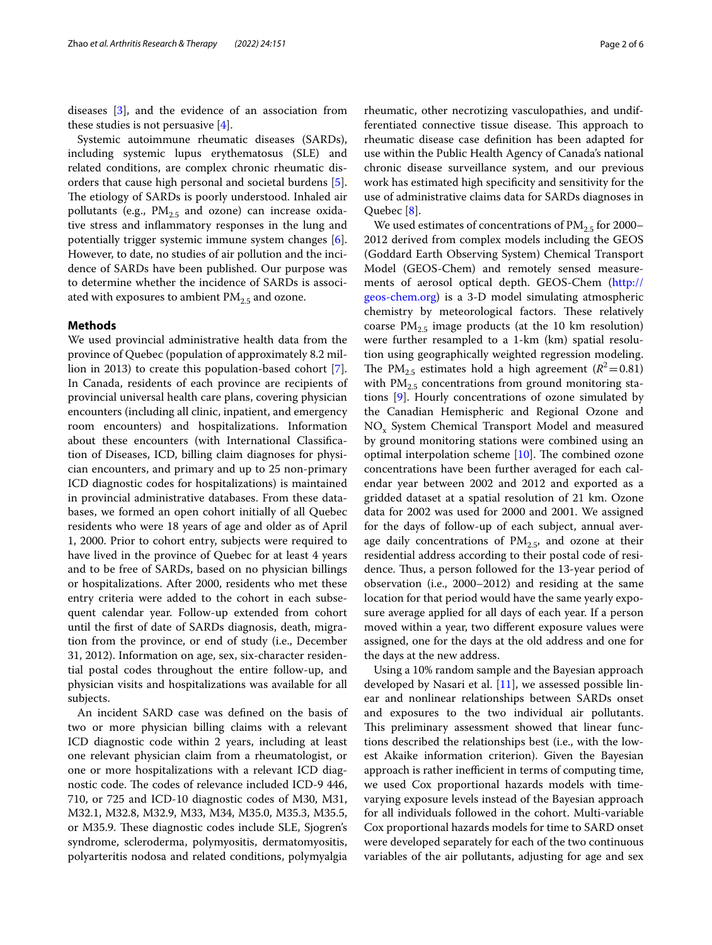diseases [[3\]](#page-4-2), and the evidence of an association from these studies is not persuasive  $[4]$  $[4]$ .

Systemic autoimmune rheumatic diseases (SARDs), including systemic lupus erythematosus (SLE) and related conditions, are complex chronic rheumatic disorders that cause high personal and societal burdens [\[5](#page-4-4)]. The etiology of SARDs is poorly understood. Inhaled air pollutants (e.g.,  $PM_{2.5}$  and ozone) can increase oxidative stress and infammatory responses in the lung and potentially trigger systemic immune system changes [\[6](#page-4-5)]. However, to date, no studies of air pollution and the incidence of SARDs have been published. Our purpose was to determine whether the incidence of SARDs is associated with exposures to ambient  $PM_{2.5}$  and ozone.

#### **Methods**

We used provincial administrative health data from the province of Quebec (population of approximately 8.2 million in 2013) to create this population-based cohort [\[7](#page-4-6)]. In Canada, residents of each province are recipients of provincial universal health care plans, covering physician encounters (including all clinic, inpatient, and emergency room encounters) and hospitalizations. Information about these encounters (with International Classifcation of Diseases, ICD, billing claim diagnoses for physician encounters, and primary and up to 25 non-primary ICD diagnostic codes for hospitalizations) is maintained in provincial administrative databases. From these databases, we formed an open cohort initially of all Quebec residents who were 18 years of age and older as of April 1, 2000. Prior to cohort entry, subjects were required to have lived in the province of Quebec for at least 4 years and to be free of SARDs, based on no physician billings or hospitalizations. After 2000, residents who met these entry criteria were added to the cohort in each subsequent calendar year. Follow-up extended from cohort until the frst of date of SARDs diagnosis, death, migration from the province, or end of study (i.e., December 31, 2012). Information on age, sex, six-character residential postal codes throughout the entire follow-up, and physician visits and hospitalizations was available for all subjects.

An incident SARD case was defned on the basis of two or more physician billing claims with a relevant ICD diagnostic code within 2 years, including at least one relevant physician claim from a rheumatologist, or one or more hospitalizations with a relevant ICD diagnostic code. The codes of relevance included ICD-9 446, 710, or 725 and ICD-10 diagnostic codes of M30, M31, M32.1, M32.8, M32.9, M33, M34, M35.0, M35.3, M35.5, or M35.9. These diagnostic codes include SLE, Sjogren's syndrome, scleroderma, polymyositis, dermatomyositis, polyarteritis nodosa and related conditions, polymyalgia rheumatic, other necrotizing vasculopathies, and undifferentiated connective tissue disease. This approach to rheumatic disease case defnition has been adapted for use within the Public Health Agency of Canada's national chronic disease surveillance system, and our previous work has estimated high specifcity and sensitivity for the use of administrative claims data for SARDs diagnoses in Quebec [\[8\]](#page-4-7).

We used estimates of concentrations of  $PM_{2.5}$  for 2000– 2012 derived from complex models including the GEOS (Goddard Earth Observing System) Chemical Transport Model (GEOS-Chem) and remotely sensed measurements of aerosol optical depth. GEOS-Chem [\(http://](http://geos-chem.org) [geos-chem.org\)](http://geos-chem.org) is a 3-D model simulating atmospheric chemistry by meteorological factors. These relatively coarse  $PM_{2.5}$  image products (at the 10 km resolution) were further resampled to a 1-km (km) spatial resolution using geographically weighted regression modeling. The PM<sub>2.5</sub> estimates hold a high agreement ( $R^2$  = 0.81) with  $PM_{2.5}$  concentrations from ground monitoring stations [\[9](#page-4-8)]. Hourly concentrations of ozone simulated by the Canadian Hemispheric and Regional Ozone and NOx System Chemical Transport Model and measured by ground monitoring stations were combined using an optimal interpolation scheme  $[10]$  $[10]$ . The combined ozone concentrations have been further averaged for each calendar year between 2002 and 2012 and exported as a gridded dataset at a spatial resolution of 21 km. Ozone data for 2002 was used for 2000 and 2001. We assigned for the days of follow-up of each subject, annual average daily concentrations of  $PM_{2.5}$ , and ozone at their residential address according to their postal code of residence. Thus, a person followed for the 13-year period of observation (i.e., 2000–2012) and residing at the same location for that period would have the same yearly exposure average applied for all days of each year. If a person moved within a year, two diferent exposure values were assigned, one for the days at the old address and one for the days at the new address.

Using a 10% random sample and the Bayesian approach developed by Nasari et al. [\[11](#page-5-0)], we assessed possible linear and nonlinear relationships between SARDs onset and exposures to the two individual air pollutants. This preliminary assessment showed that linear functions described the relationships best (i.e., with the lowest Akaike information criterion). Given the Bayesian approach is rather inefficient in terms of computing time, we used Cox proportional hazards models with timevarying exposure levels instead of the Bayesian approach for all individuals followed in the cohort. Multi-variable Cox proportional hazards models for time to SARD onset were developed separately for each of the two continuous variables of the air pollutants, adjusting for age and sex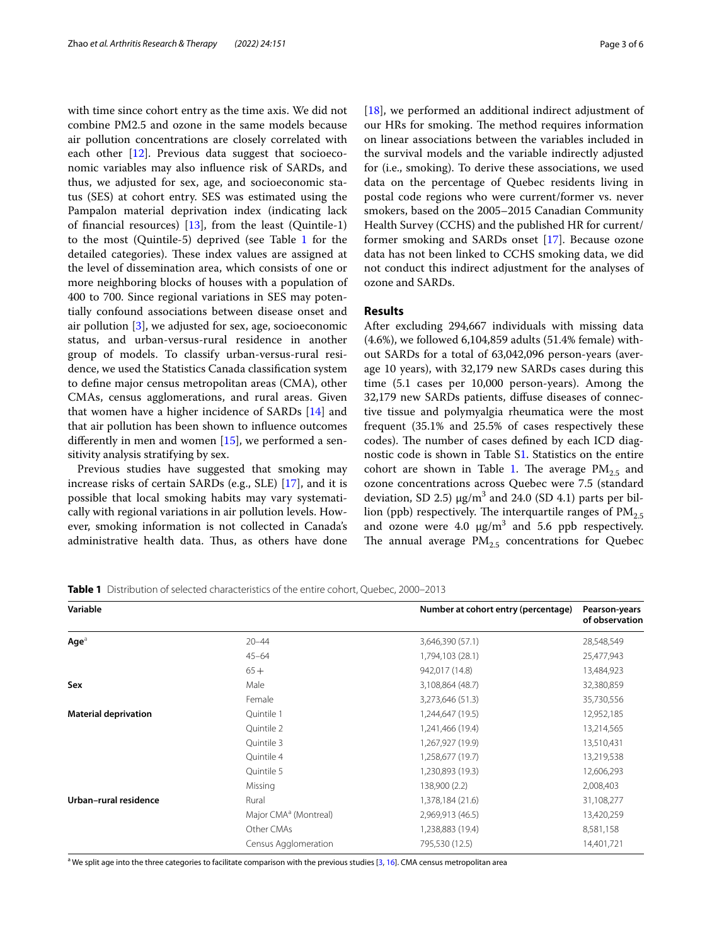with time since cohort entry as the time axis. We did not combine PM2.5 and ozone in the same models because air pollution concentrations are closely correlated with each other  $[12]$  $[12]$ . Previous data suggest that socioeconomic variables may also infuence risk of SARDs, and thus, we adjusted for sex, age, and socioeconomic status (SES) at cohort entry. SES was estimated using the Pampalon material deprivation index (indicating lack of fnancial resources) [[13\]](#page-5-2), from the least (Quintile-1) to the most (Quintile-5) deprived (see Table [1](#page-2-0) for the detailed categories). These index values are assigned at the level of dissemination area, which consists of one or more neighboring blocks of houses with a population of 400 to 700. Since regional variations in SES may potentially confound associations between disease onset and air pollution [[3\]](#page-4-2), we adjusted for sex, age, socioeconomic status, and urban-versus-rural residence in another group of models. To classify urban-versus-rural residence, we used the Statistics Canada classifcation system to defne major census metropolitan areas (CMA), other CMAs, census agglomerations, and rural areas. Given that women have a higher incidence of SARDs [[14\]](#page-5-3) and that air pollution has been shown to infuence outcomes diferently in men and women [\[15](#page-5-4)], we performed a sensitivity analysis stratifying by sex.

Previous studies have suggested that smoking may increase risks of certain SARDs (e.g., SLE) [\[17](#page-5-5)], and it is possible that local smoking habits may vary systematically with regional variations in air pollution levels. However, smoking information is not collected in Canada's administrative health data. Thus, as others have done [[18\]](#page-5-6), we performed an additional indirect adjustment of our HRs for smoking. The method requires information on linear associations between the variables included in the survival models and the variable indirectly adjusted for (i.e., smoking). To derive these associations, we used data on the percentage of Quebec residents living in postal code regions who were current/former vs. never smokers, based on the 2005–2015 Canadian Community Health Survey (CCHS) and the published HR for current/ former smoking and SARDs onset [[17](#page-5-5)]. Because ozone data has not been linked to CCHS smoking data, we did not conduct this indirect adjustment for the analyses of ozone and SARDs.

### **Results**

After excluding 294,667 individuals with missing data (4.6%), we followed 6,104,859 adults (51.4% female) without SARDs for a total of 63,042,096 person-years (average 10 years), with 32,179 new SARDs cases during this time (5.1 cases per 10,000 person-years). Among the 32,179 new SARDs patients, difuse diseases of connective tissue and polymyalgia rheumatica were the most frequent (35.1% and 25.5% of cases respectively these codes). The number of cases defined by each ICD diagnostic code is shown in Table [S1](#page-4-10). Statistics on the entire cohort are shown in Table [1.](#page-2-0) The average  $PM_{2.5}$  and ozone concentrations across Quebec were 7.5 (standard deviation, SD 2.5)  $\mu$ g/m<sup>3</sup> and 24.0 (SD 4.1) parts per billion (ppb) respectively. The interquartile ranges of  $PM_{2.5}$ and ozone were  $4.0 \ \mu g/m^3$  and 5.6 ppb respectively. The annual average  $PM_{2.5}$  concentrations for Quebec

<span id="page-2-0"></span>**Table 1** Distribution of selected characteristics of the entire cohort, Quebec, 2000–2013

| Variable                    |                                   | Number at cohort entry (percentage) | Pearson-years<br>of observation |
|-----------------------------|-----------------------------------|-------------------------------------|---------------------------------|
| $Aq e^a$                    | $20 - 44$                         | 3,646,390 (57.1)                    | 28,548,549                      |
|                             | $45 - 64$                         | 1,794,103 (28.1)                    | 25,477,943                      |
|                             | $65+$                             | 942,017 (14.8)                      | 13,484,923                      |
| Sex                         | Male                              | 3,108,864 (48.7)                    | 32,380,859                      |
|                             | Female                            | 3,273,646 (51.3)                    | 35,730,556                      |
| <b>Material deprivation</b> | Quintile 1                        | 1,244,647 (19.5)                    | 12,952,185                      |
|                             | Ouintile 2                        | 1,241,466 (19.4)                    | 13,214,565                      |
|                             | Quintile 3                        | 1,267,927 (19.9)                    | 13,510,431                      |
|                             | Quintile 4                        | 1,258,677 (19.7)                    | 13,219,538                      |
|                             | Quintile 5                        | 1,230,893 (19.3)                    | 12,606,293                      |
|                             | Missing                           | 138,900 (2.2)                       | 2,008,403                       |
| Urban-rural residence       | Rural                             | 1,378,184 (21.6)                    | 31,108,277                      |
|                             | Major CMA <sup>a</sup> (Montreal) | 2,969,913 (46.5)                    | 13,420,259                      |
|                             | Other CMAs                        | 1,238,883 (19.4)                    | 8,581,158                       |
|                             | Census Agglomeration              | 795,530 (12.5)                      | 14,401,721                      |

<sup>a</sup> We split age into the three categories to facilitate comparison with the previous studies [[3](#page-4-2), [16](#page-5-7)]. CMA census metropolitan area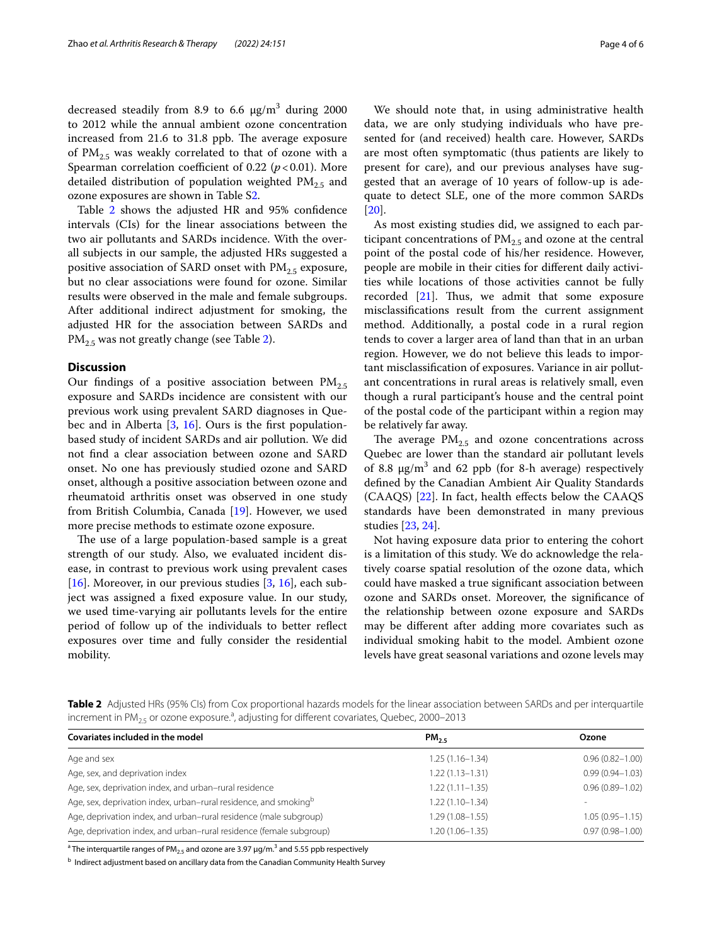decreased steadily from 8.9 to 6.6  $\mu$ g/m<sup>3</sup> during 2000 to 2012 while the annual ambient ozone concentration increased from 21.6 to 31.8 ppb. The average exposure of  $PM_{2.5}$  was weakly correlated to that of ozone with a Spearman correlation coefficient of 0.22 ( $p$  < 0.01). More detailed distribution of population weighted  $PM_{2.5}$  and ozone exposures are shown in Table S[2](#page-4-10).

Table [2](#page-3-0) shows the adjusted HR and 95% confdence intervals (CIs) for the linear associations between the two air pollutants and SARDs incidence. With the overall subjects in our sample, the adjusted HRs suggested a positive association of SARD onset with  $PM_{2.5}$  exposure, but no clear associations were found for ozone. Similar results were observed in the male and female subgroups. After additional indirect adjustment for smoking, the adjusted HR for the association between SARDs and  $PM<sub>2.5</sub>$  was not greatly change (see Table [2\)](#page-3-0).

#### **Discussion**

Our findings of a positive association between  $PM_{2.5}$ exposure and SARDs incidence are consistent with our previous work using prevalent SARD diagnoses in Quebec and in Alberta  $[3, 16]$  $[3, 16]$  $[3, 16]$ . Ours is the first populationbased study of incident SARDs and air pollution. We did not fnd a clear association between ozone and SARD onset. No one has previously studied ozone and SARD onset, although a positive association between ozone and rheumatoid arthritis onset was observed in one study from British Columbia, Canada [[19](#page-5-8)]. However, we used more precise methods to estimate ozone exposure.

The use of a large population-based sample is a great strength of our study. Also, we evaluated incident disease, in contrast to previous work using prevalent cases [ $16$ ]. Moreover, in our previous studies [ $3, 16$ ], each subject was assigned a fxed exposure value. In our study, we used time-varying air pollutants levels for the entire period of follow up of the individuals to better refect exposures over time and fully consider the residential mobility.

We should note that, in using administrative health data, we are only studying individuals who have presented for (and received) health care. However, SARDs are most often symptomatic (thus patients are likely to present for care), and our previous analyses have suggested that an average of 10 years of follow-up is adequate to detect SLE, one of the more common SARDs [[20\]](#page-5-9).

As most existing studies did, we assigned to each participant concentrations of  $PM_{2.5}$  and ozone at the central point of the postal code of his/her residence. However, people are mobile in their cities for diferent daily activities while locations of those activities cannot be fully recorded  $[21]$ . Thus, we admit that some exposure misclassifcations result from the current assignment method. Additionally, a postal code in a rural region tends to cover a larger area of land than that in an urban region. However, we do not believe this leads to important misclassifcation of exposures. Variance in air pollutant concentrations in rural areas is relatively small, even though a rural participant's house and the central point of the postal code of the participant within a region may be relatively far away.

The average  $PM_{2.5}$  and ozone concentrations across Quebec are lower than the standard air pollutant levels of 8.8  $\mu$ g/m<sup>3</sup> and 62 ppb (for 8-h average) respectively defned by the Canadian Ambient Air Quality Standards (CAAQS) [\[22](#page-5-11)]. In fact, health efects below the CAAQS standards have been demonstrated in many previous studies [[23,](#page-5-12) [24\]](#page-5-13).

Not having exposure data prior to entering the cohort is a limitation of this study. We do acknowledge the relatively coarse spatial resolution of the ozone data, which could have masked a true signifcant association between ozone and SARDs onset. Moreover, the signifcance of the relationship between ozone exposure and SARDs may be diferent after adding more covariates such as individual smoking habit to the model. Ambient ozone levels have great seasonal variations and ozone levels may

<span id="page-3-0"></span>

|  | Table 2 Adjusted HRs (95% CIs) from Cox proportional hazards models for the linear association between SARDs and per interquartile |  |  |  |
|--|------------------------------------------------------------------------------------------------------------------------------------|--|--|--|
|  | increment in $PM_{25}$ or ozone exposure. <sup>3</sup> , adjusting for different covariates, Quebec, 2000-2013                     |  |  |  |

| Covariates included in the model                                             | $PM_{25}$           | Ozone               |
|------------------------------------------------------------------------------|---------------------|---------------------|
| Age and sex                                                                  | $1.25(1.16 - 1.34)$ | $0.96(0.82 - 1.00)$ |
| Age, sex, and deprivation index                                              | $1.22(1.13 - 1.31)$ | $0.99(0.94 - 1.03)$ |
| Age, sex, deprivation index, and urban-rural residence                       | $1.22(1.11 - 1.35)$ | $0.96(0.89 - 1.02)$ |
| Age, sex, deprivation index, urban-rural residence, and smoking <sup>b</sup> | $1.22(1.10 - 1.34)$ |                     |
| Age, deprivation index, and urban-rural residence (male subgroup)            | $1.29(1.08 - 1.55)$ | $1.05(0.95 - 1.15)$ |
| Age, deprivation index, and urban-rural residence (female subgroup)          | $1.20(1.06 - 1.35)$ | $0.97(0.98 - 1.00)$ |

 $^{\rm a}$ The interquartile ranges of PM $_{2.5}$  and ozone are 3.97  $\mu$ g/m. $^3$  and 5.55 ppb respectively

**b Indirect adjustment based on ancillary data from the Canadian Community Health Survey**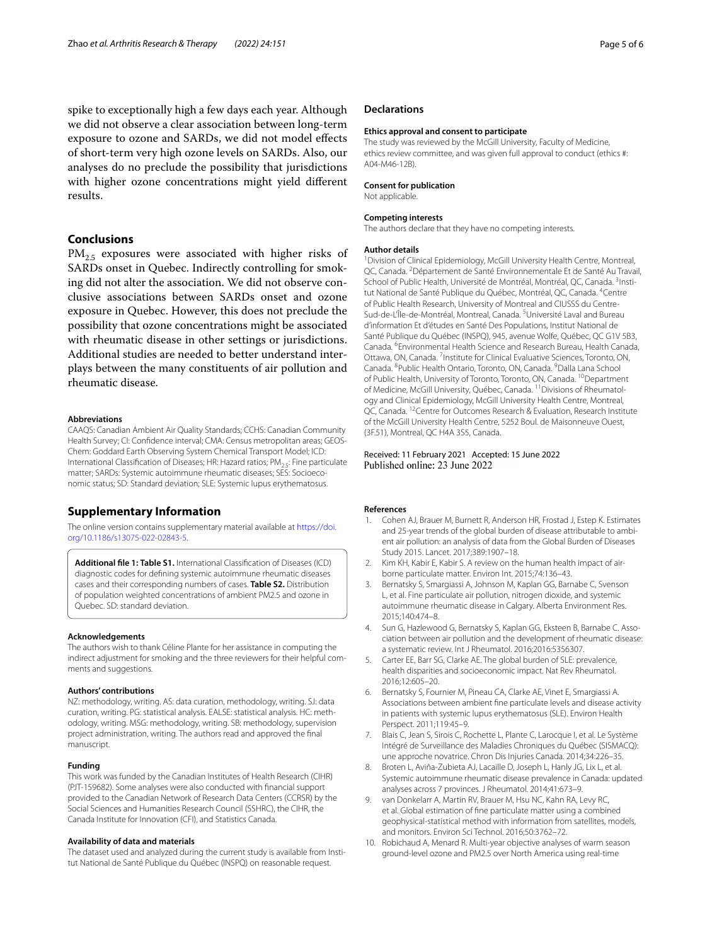spike to exceptionally high a few days each year. Although we did not observe a clear association between long-term exposure to ozone and SARDs, we did not model efects of short-term very high ozone levels on SARDs. Also, our analyses do no preclude the possibility that jurisdictions with higher ozone concentrations might yield diferent results.

## **Conclusions**

 $PM<sub>2.5</sub>$  exposures were associated with higher risks of SARDs onset in Quebec. Indirectly controlling for smoking did not alter the association. We did not observe conclusive associations between SARDs onset and ozone exposure in Quebec. However, this does not preclude the possibility that ozone concentrations might be associated with rheumatic disease in other settings or jurisdictions. Additional studies are needed to better understand interplays between the many constituents of air pollution and rheumatic disease.

#### **Abbreviations**

CAAQS: Canadian Ambient Air Quality Standards; CCHS: Canadian Community Health Survey; CI: Confdence interval; CMA: Census metropolitan areas; GEOS-Chem: Goddard Earth Observing System Chemical Transport Model; ICD: International Classification of Diseases; HR: Hazard ratios;  $PM<sub>25</sub>$ : Fine particulate matter: SARDs: Systemic autoimmune rheumatic diseases: SES: Socioeconomic status; SD: Standard deviation; SLE: Systemic lupus erythematosus.

#### **Supplementary Information**

The online version contains supplementary material available at [https://doi.](https://doi.org/10.1186/s13075-022-02843-5) [org/10.1186/s13075-022-02843-5](https://doi.org/10.1186/s13075-022-02843-5).

<span id="page-4-10"></span>**Additional fle 1: Table S1.** International Classifcation of Diseases (ICD) diagnostic codes for defning systemic autoimmune rheumatic diseases cases and their corresponding numbers of cases. **Table S2.** Distribution of population weighted concentrations of ambient PM2.5 and ozone in Quebec. SD: standard deviation.

#### **Acknowledgements**

The authors wish to thank Céline Plante for her assistance in computing the indirect adjustment for smoking and the three reviewers for their helpful comments and suggestions.

#### **Authors' contributions**

NZ: methodology, writing. AS: data curation, methodology, writing. SJ: data curation, writing. PG: statistical analysis. EALSE: statistical analysis. HC: methodology, writing. MSG: methodology, writing. SB: methodology, supervision project administration, writing. The authors read and approved the fnal manuscript.

#### **Funding**

This work was funded by the Canadian Institutes of Health Research (CIHR) (PJT-159682). Some analyses were also conducted with fnancial support provided to the Canadian Network of Research Data Centers (CCRSR) by the Social Sciences and Humanities Research Council (SSHRC), the CIHR, the Canada Institute for Innovation (CFI), and Statistics Canada.

#### **Availability of data and materials**

The dataset used and analyzed during the current study is available from Institut National de Santé Publique du Québec (INSPQ) on reasonable request.

#### **Declarations**

#### **Ethics approval and consent to participate**

The study was reviewed by the McGill University, Faculty of Medicine, ethics review committee, and was given full approval to conduct (ethics #: A04-M46-12B).

#### **Consent for publication**

Not applicable.

#### **Competing interests**

The authors declare that they have no competing interests.

#### **Author details**

<sup>1</sup> Division of Clinical Epidemiology, McGill University Health Centre, Montreal, QC, Canada. <sup>2</sup> Département de Santé Environnementale Et de Santé Au Travail, School of Public Health, Université de Montréal, Montréal, QC, Canada. <sup>3</sup>Institut National de Santé Publique du Québec, Montréal, QC, Canada. <sup>4</sup>Centre of Public Health Research, University of Montreal and CIUSSS du Centre-Sud-de-L'Île-de-Montréal, Montreal, Canada. <sup>5</sup>Université Laval and Bureau d'information Et d'études en Santé Des Populations, Institut National de Santé Publique du Québec (INSPQ), 945, avenue Wolfe, Québec, QC G1V 5B3, Canada. 6 Environmental Health Science and Research Bureau, Health Canada, Ottawa, ON, Canada. <sup>7</sup> Institute for Clinical Evaluative Sciences, Toronto, ON, Canada. <sup>8</sup> Public Health Ontario, Toronto, ON, Canada. <sup>9</sup> Dalla Lana School of Public Health, University of Toronto, Toronto, ON, Canada. <sup>10</sup>Department of Medicine, McGill University, Québec, Canada. <sup>11</sup> Divisions of Rheumatology and Clinical Epidemiology, McGill University Health Centre, Montreal, QC, Canada. <sup>12</sup>Centre for Outcomes Research & Evaluation, Research Institute of the McGill University Health Centre, 5252 Boul. de Maisonneuve Ouest, (3F.51), Montreal, QC H4A 3S5, Canada.

#### Received: 11 February 2021 Accepted: 15 June 2022 Published online: 23 June 2022

#### **References**

- <span id="page-4-0"></span>1. Cohen AJ, Brauer M, Burnett R, Anderson HR, Frostad J, Estep K. Estimates and 25-year trends of the global burden of disease attributable to ambient air pollution: an analysis of data from the Global Burden of Diseases Study 2015. Lancet. 2017;389:1907–18.
- <span id="page-4-1"></span>2. Kim KH, Kabir E, Kabir S. A review on the human health impact of airborne particulate matter. Environ Int. 2015;74:136–43.
- <span id="page-4-2"></span>3. Bernatsky S, Smargiassi A, Johnson M, Kaplan GG, Barnabe C, Svenson L, et al. Fine particulate air pollution, nitrogen dioxide, and systemic autoimmune rheumatic disease in Calgary. Alberta Environment Res. 2015;140:474–8.
- <span id="page-4-3"></span>4. Sun G, Hazlewood G, Bernatsky S, Kaplan GG, Eksteen B, Barnabe C. Association between air pollution and the development of rheumatic disease: a systematic review. Int J Rheumatol. 2016;2016:5356307.
- <span id="page-4-4"></span>5. Carter EE, Barr SG, Clarke AE. The global burden of SLE: prevalence, health disparities and socioeconomic impact. Nat Rev Rheumatol. 2016;12:605–20.
- <span id="page-4-5"></span>6. Bernatsky S, Fournier M, Pineau CA, Clarke AE, Vinet E, Smargiassi A. Associations between ambient fne particulate levels and disease activity in patients with systemic lupus erythematosus (SLE). Environ Health Perspect. 2011;119:45–9.
- <span id="page-4-6"></span>7. Blais C, Jean S, Sirois C, Rochette L, Plante C, Larocque I, et al. Le Système Intégré de Surveillance des Maladies Chroniques du Québec (SISMACQ): une approche novatrice. Chron Dis Injuries Canada. 2014;34:226–35.
- <span id="page-4-7"></span>8. Broten L, Aviña-Zubieta AJ, Lacaille D, Joseph L, Hanly JG, Lix L, et al. Systemic autoimmune rheumatic disease prevalence in Canada: updated analyses across 7 provinces. J Rheumatol. 2014;41:673–9.
- <span id="page-4-8"></span>van Donkelarr A, Martin RV, Brauer M, Hsu NC, Kahn RA, Levy RC, et al. Global estimation of fne particulate matter using a combined geophysical-statistical method with information from satellites, models, and monitors. Environ Sci Technol. 2016;50:3762–72.
- <span id="page-4-9"></span>10. Robichaud A, Menard R. Multi-year objective analyses of warm season ground-level ozone and PM2.5 over North America using real-time